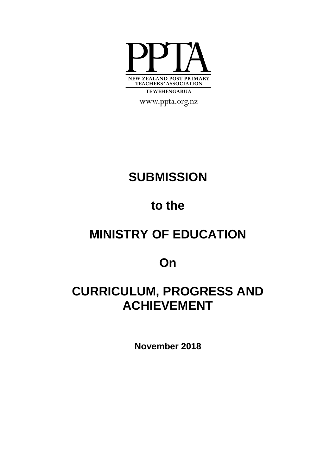

www.ppta.org.nz

# **SUBMISSION**

# **to the**

# **MINISTRY OF EDUCATION**

## **On**

# **CURRICULUM, PROGRESS AND ACHIEVEMENT**

**November 2018**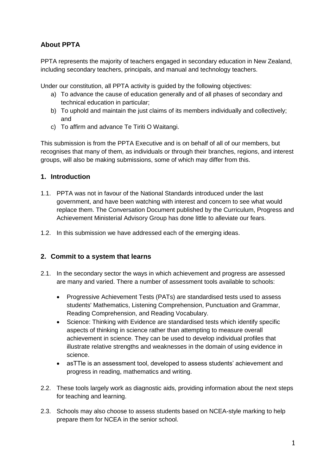### **About PPTA**

PPTA represents the majority of teachers engaged in secondary education in New Zealand, including secondary teachers, principals, and manual and technology teachers.

Under our constitution, all PPTA activity is guided by the following objectives:

- a) To advance the cause of education generally and of all phases of secondary and technical education in particular;
- b) To uphold and maintain the just claims of its members individually and collectively; and
- c) To affirm and advance Te Tiriti O Waitangi.

This submission is from the PPTA Executive and is on behalf of all of our members, but recognises that many of them, as individuals or through their branches, regions, and interest groups, will also be making submissions, some of which may differ from this.

#### **1. Introduction**

- 1.1. PPTA was not in favour of the National Standards introduced under the last government, and have been watching with interest and concern to see what would replace them. The Conversation Document published by the Curriculum, Progress and Achievement Ministerial Advisory Group has done little to alleviate our fears.
- 1.2. In this submission we have addressed each of the emerging ideas.

#### **2. Commit to a system that learns**

- 2.1. In the secondary sector the ways in which achievement and progress are assessed are many and varied. There a number of assessment tools available to schools:
	- Progressive Achievement Tests (PATs) are standardised tests used to assess students' Mathematics, Listening Comprehension, Punctuation and Grammar, Reading Comprehension, and Reading Vocabulary.
	- Science: Thinking with Evidence are standardised tests which identify specific aspects of thinking in science rather than attempting to measure overall achievement in science. They can be used to develop individual profiles that illustrate relative strengths and weaknesses in the domain of using evidence in science.
	- asTTle is an assessment tool, developed to assess students' achievement and progress in reading, mathematics and writing.
- 2.2. These tools largely work as diagnostic aids, providing information about the next steps for teaching and learning.
- 2.3. Schools may also choose to assess students based on NCEA-style marking to help prepare them for NCEA in the senior school.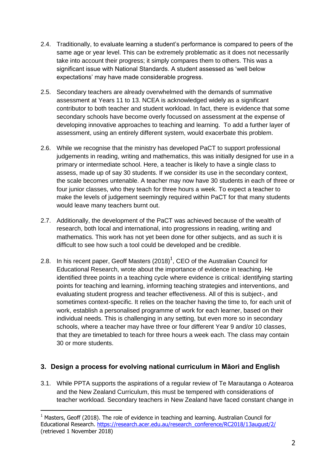- 2.4. Traditionally, to evaluate learning a student's performance is compared to peers of the same age or year level. This can be extremely problematic as it does not necessarily take into account their progress; it simply compares them to others. This was a significant issue with National Standards. A student assessed as 'well below expectations' may have made considerable progress.
- 2.5. Secondary teachers are already overwhelmed with the demands of summative assessment at Years 11 to 13. NCEA is acknowledged widely as a significant contributor to both teacher and student workload. In fact, there is evidence that some secondary schools have become overly focussed on assessment at the expense of developing innovative approaches to teaching and learning. To add a further layer of assessment, using an entirely different system, would exacerbate this problem.
- 2.6. While we recognise that the ministry has developed PaCT to support professional judgements in reading, writing and mathematics, this was initially designed for use in a primary or intermediate school. Here, a teacher is likely to have a single class to assess, made up of say 30 students. If we consider its use in the secondary context, the scale becomes untenable. A teacher may now have 30 students in each of three or four junior classes, who they teach for three hours a week. To expect a teacher to make the levels of judgement seemingly required within PaCT for that many students would leave many teachers burnt out.
- 2.7. Additionally, the development of the PaCT was achieved because of the wealth of research, both local and international, into progressions in reading, writing and mathematics. This work has not yet been done for other subjects, and as such it is difficult to see how such a tool could be developed and be credible.
- 2.8. In his recent paper, Geoff Masters (2018)<sup>1</sup>, CEO of the Australian Council for Educational Research, wrote about the importance of evidence in teaching. He identified three points in a teaching cycle where evidence is critical: identifying starting points for teaching and learning, informing teaching strategies and interventions, and evaluating student progress and teacher effectiveness. All of this is subject-, and sometimes context-specific. It relies on the teacher having the time to, for each unit of work, establish a personalised programme of work for each learner, based on their individual needs. This is challenging in any setting, but even more so in secondary schools, where a teacher may have three or four different Year 9 and/or 10 classes, that they are timetabled to teach for three hours a week each. The class may contain 30 or more students.

#### **3. Design a process for evolving national curriculum in Māori and English**

3.1. While PPTA supports the aspirations of a regular review of Te Marautanga o Aotearoa and the New Zealand Curriculum, this must be tempered with considerations of teacher workload. Secondary teachers in New Zealand have faced constant change in

-

 $1$  Masters, Geoff (2018). The role of evidence in teaching and learning. Australian Council for Educational Research. [https://research.acer.edu.au/research\\_conference/RC2018/13august/2/](https://research.acer.edu.au/research_conference/RC2018/13august/2/) (retrieved 1 November 2018)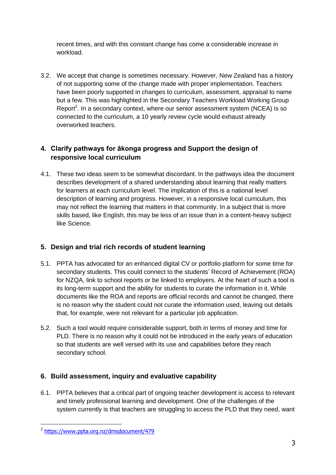recent times, and with this constant change has come a considerable increase in workload.

3.2. We accept that change is sometimes necessary. However, New Zealand has a history of not supporting some of the change made with proper implementation. Teachers have been poorly supported in changes to curriculum, assessment, appraisal to name but a few. This was highlighted in the Secondary Teachers Workload Working Group Report<sup>2</sup>. In a secondary context, where our senior assessment system (NCEA) is so connected to the curriculum, a 10 yearly review cycle would exhaust already overworked teachers.

### **4. Clarify pathways for ākonga progress and Support the design of responsive local curriculum**

4.1. These two ideas seem to be somewhat discordant. In the pathways idea the document describes development of a shared understanding about learning that really matters for learners at each curriculum level. The implication of this is a national level description of learning and progress. However, in a responsive local curriculum, this may not reflect the learning that matters in that community. In a subject that is more skills based, like English, this may be less of an issue than in a content-heavy subject like Science.

### **5. Design and trial rich records of student learning**

- 5.1. PPTA has advocated for an enhanced digital CV or portfolio platform for some time for secondary students. This could connect to the students' Record of Achievement (ROA) for NZQA, link to school reports or be linked to employers. At the heart of such a tool is its long-term support and the ability for students to curate the information in it. While documents like the ROA and reports are official records and cannot be changed, there is no reason why the student could not curate the information used, leaving out details that, for example, were not relevant for a particular job application.
- 5.2. Such a tool would require considerable support, both in terms of money and time for PLD. There is no reason why it could not be introduced in the early years of education so that students are well versed with its use and capabilities before they reach secondary school.

### **6. Build assessment, inquiry and evaluative capability**

6.1. PPTA believes that a critical part of ongoing teacher development is access to relevant and timely professional learning and development. One of the challenges of the system currently is that teachers are struggling to access the PLD that they need, want

\_<br>2 <u><https://www.ppta.org.nz/dmsdocument/479></u>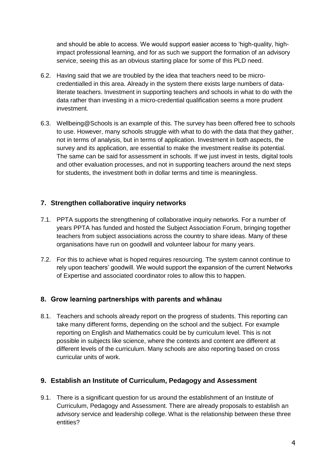and should be able to access. We would support easier access to 'high-quality, highimpact professional learning, and for as such we support the formation of an advisory service, seeing this as an obvious starting place for some of this PLD need.

- 6.2. Having said that we are troubled by the idea that teachers need to be microcredentialled in this area. Already in the system there exists large numbers of dataliterate teachers. Investment in supporting teachers and schools in what to do with the data rather than investing in a micro-credential qualification seems a more prudent investment.
- 6.3. Wellbeing@Schools is an example of this. The survey has been offered free to schools to use. However, many schools struggle with what to do with the data that they gather, not in terms of analysis, but in terms of application. Investment in both aspects, the survey and its application, are essential to make the investment realise its potential. The same can be said for assessment in schools. If we just invest in tests, digital tools and other evaluation processes, and not in supporting teachers around the next steps for students, the investment both in dollar terms and time is meaningless.

#### **7. Strengthen collaborative inquiry networks**

- 7.1. PPTA supports the strengthening of collaborative inquiry networks. For a number of years PPTA has funded and hosted the Subject Association Forum, bringing together teachers from subject associations across the country to share ideas. Many of these organisations have run on goodwill and volunteer labour for many years.
- 7.2. For this to achieve what is hoped requires resourcing. The system cannot continue to rely upon teachers' goodwill. We would support the expansion of the current Networks of Expertise and associated coordinator roles to allow this to happen.

#### **8. Grow learning partnerships with parents and whānau**

8.1. Teachers and schools already report on the progress of students. This reporting can take many different forms, depending on the school and the subject. For example reporting on English and Mathematics could be by curriculum level. This is not possible in subjects like science, where the contexts and content are different at different levels of the curriculum. Many schools are also reporting based on cross curricular units of work.

#### **9. Establish an Institute of Curriculum, Pedagogy and Assessment**

9.1. There is a significant question for us around the establishment of an Institute of Curriculum, Pedagogy and Assessment. There are already proposals to establish an advisory service and leadership college. What is the relationship between these three entities?